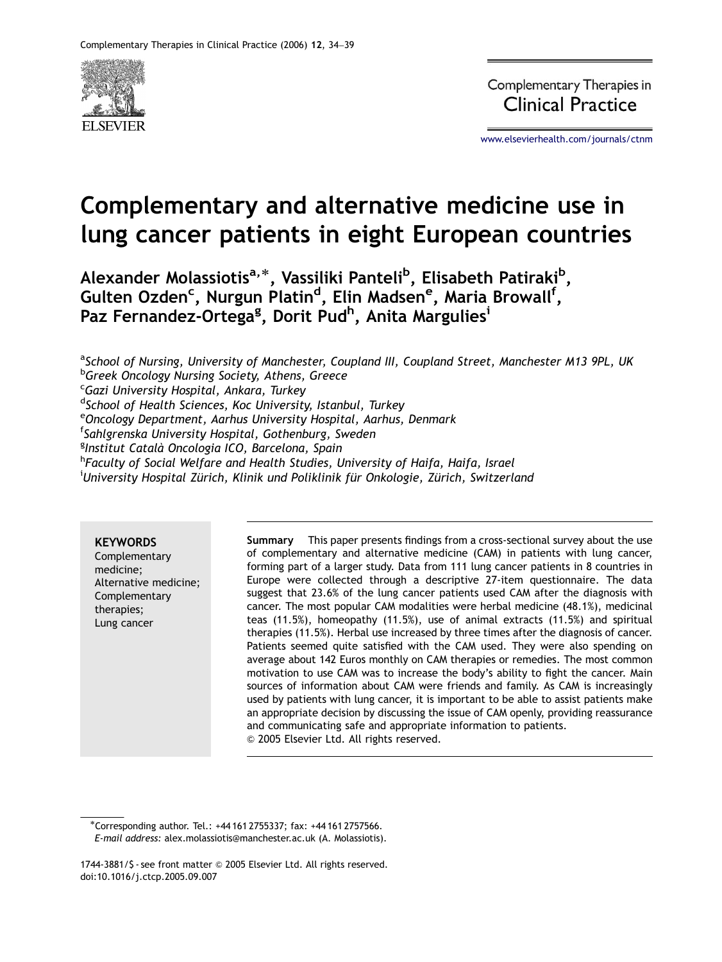

Complementary Therapies in **Clinical Practice** 

<www.elsevierhealth.com/journals/ctnm>

# Complementary and alternative medicine use in lung cancer patients in eight European countries

Alexander Molassiotis<sup>a,\*</sup>, Vassiliki Panteli<sup>b</sup>, Elisabeth Patiraki<sup>b</sup>, Gulten Ozden<sup>c</sup>, Nurgun Platin<sup>d</sup>, Elin Madsen<sup>e</sup>, Maria Browall<sup>f</sup>, Paz Fernandez-Ortega<sup>g</sup>, Dorit Pud<sup>h</sup>, Anita Margulies<sup>i</sup>

<sup>a</sup>School of Nursing, University of Manchester, Coupland III, Coupland Street, Manchester M13 9PL, UK b Greek Oncology Nursing Society, Athens, Greece c Gazi University Hospital, Ankara, Turkey d School of Health Sciences, Koc University, Istanbul, Turkey e Oncology Department, Aarhus University Hospital, Aarhus, Denmark f Sahlgrenska University Hospital, Gothenburg, Sweden <sup>g</sup>Institut Català Oncologia ICO, Barcelona, Spain <sup>h</sup>Faculty of Social Welfare and Health Studies, University of Haifa, Haifa, Israel <sup>i</sup>University Hospital Zürich, Klinik und Poliklinik für Onkologie, Zürich, Switzerland

#### **KEYWORDS**

Complementary medicine; Alternative medicine; Complementary therapies; Lung cancer

Summary This paper presents findings from a cross-sectional survey about the use of complementary and alternative medicine (CAM) in patients with lung cancer, forming part of a larger study. Data from 111 lung cancer patients in 8 countries in Europe were collected through a descriptive 27-item questionnaire. The data suggest that 23.6% of the lung cancer patients used CAM after the diagnosis with cancer. The most popular CAM modalities were herbal medicine (48.1%), medicinal teas (11.5%), homeopathy (11.5%), use of animal extracts (11.5%) and spiritual therapies (11.5%). Herbal use increased by three times after the diagnosis of cancer. Patients seemed quite satisfied with the CAM used. They were also spending on average about 142 Euros monthly on CAM therapies or remedies. The most common motivation to use CAM was to increase the body's ability to fight the cancer. Main sources of information about CAM were friends and family. As CAM is increasingly used by patients with lung cancer, it is important to be able to assist patients make an appropriate decision by discussing the issue of CAM openly, providing reassurance and communicating safe and appropriate information to patients. & 2005 Elsevier Ltd. All rights reserved.

Corresponding author. Tel.: +44 161 2755337; fax: +44 161 2757566. E-mail address: alex.molassiotis@manchester.ac.uk (A. Molassiotis).

<sup>1744-3881/\$ -</sup> see front matter © 2005 Elsevier Ltd. All rights reserved. doi:10.1016/j.ctcp.2005.09.007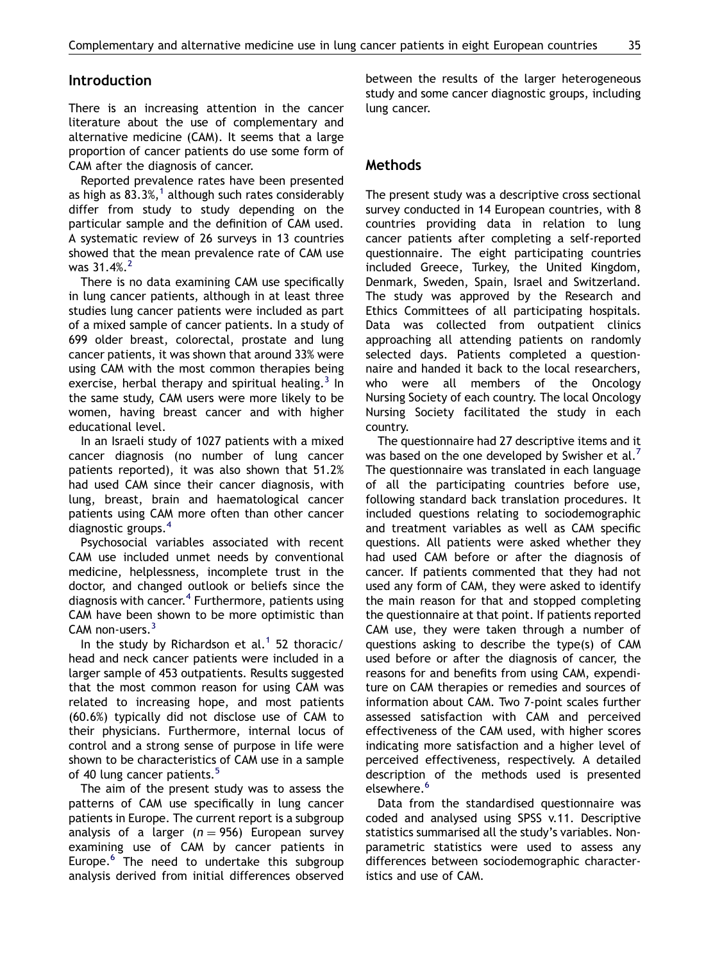### **Introduction**

There is an increasing attention in the cancer literature about the use of complementary and alternative medicine (CAM). It seems that a large proportion of cancer patients do use some form of CAM after the diagnosis of cancer.

Reported prevalence rates have been presented as high as  $83.3\%$ ,<sup>[1](#page-5-0)</sup> although such rates considerably differ from study to study depending on the particular sample and the definition of CAM used. A systematic review of 26 surveys in 13 countries showed that the mean prevalence rate of CAM use was  $31.4\%$ <sup>[2](#page-5-0)</sup>

There is no data examining CAM use specifically in lung cancer patients, although in at least three studies lung cancer patients were included as part of a mixed sample of cancer patients. In a study of 699 older breast, colorectal, prostate and lung cancer patients, it was shown that around 33% were using CAM with the most common therapies being exercise, herbal therapy and spiritual healing.<sup>[3](#page-5-0)</sup> In the same study, CAM users were more likely to be women, having breast cancer and with higher educational level.

In an Israeli study of 1027 patients with a mixed cancer diagnosis (no number of lung cancer patients reported), it was also shown that 51.2% had used CAM since their cancer diagnosis, with lung, breast, brain and haematological cancer patients using CAM more often than other cancer diagnostic groups.[4](#page-5-0)

Psychosocial variables associated with recent CAM use included unmet needs by conventional medicine, helplessness, incomplete trust in the doctor, and changed outlook or beliefs since the diagnosis with cancer.<sup>[4](#page-5-0)</sup> Furthermore, patients using CAM have been shown to be more optimistic than CAM non-users.<sup>[3](#page-5-0)</sup>

In the study by Richardson et al.<sup>[1](#page-5-0)</sup> 52 thoracic/ head and neck cancer patients were included in a larger sample of 453 outpatients. Results suggested that the most common reason for using CAM was related to increasing hope, and most patients (60.6%) typically did not disclose use of CAM to their physicians. Furthermore, internal locus of control and a strong sense of purpose in life were shown to be characteristics of CAM use in a sample of 40 lung cancer patients.<sup>[5](#page-5-0)</sup>

The aim of the present study was to assess the patterns of CAM use specifically in lung cancer patients in Europe. The current report is a subgroup analysis of a larger ( $n = 956$ ) European survey examining use of CAM by cancer patients in Europe.<sup>6</sup> The need to undertake this subgroup analysis derived from initial differences observed between the results of the larger heterogeneous study and some cancer diagnostic groups, including lung cancer.

### Methods

The present study was a descriptive cross sectional survey conducted in 14 European countries, with 8 countries providing data in relation to lung cancer patients after completing a self-reported questionnaire. The eight participating countries included Greece, Turkey, the United Kingdom, Denmark, Sweden, Spain, Israel and Switzerland. The study was approved by the Research and Ethics Committees of all participating hospitals. Data was collected from outpatient clinics approaching all attending patients on randomly selected days. Patients completed a questionnaire and handed it back to the local researchers, who were all members of the Oncology Nursing Society of each country. The local Oncology Nursing Society facilitated the study in each country.

The questionnaire had 27 descriptive items and it was based on the one developed by Swisher et al.<sup>[7](#page-5-0)</sup> The questionnaire was translated in each language of all the participating countries before use, following standard back translation procedures. It included questions relating to sociodemographic and treatment variables as well as CAM specific questions. All patients were asked whether they had used CAM before or after the diagnosis of cancer. If patients commented that they had not used any form of CAM, they were asked to identify the main reason for that and stopped completing the questionnaire at that point. If patients reported CAM use, they were taken through a number of questions asking to describe the type(s) of CAM used before or after the diagnosis of cancer, the reasons for and benefits from using CAM, expenditure on CAM therapies or remedies and sources of information about CAM. Two 7-point scales further assessed satisfaction with CAM and perceived effectiveness of the CAM used, with higher scores indicating more satisfaction and a higher level of perceived effectiveness, respectively. A detailed description of the methods used is presented elsewhere.<sup>[6](#page-5-0)</sup>

Data from the standardised questionnaire was coded and analysed using SPSS v.11. Descriptive statistics summarised all the study's variables. Nonparametric statistics were used to assess any differences between sociodemographic characteristics and use of CAM.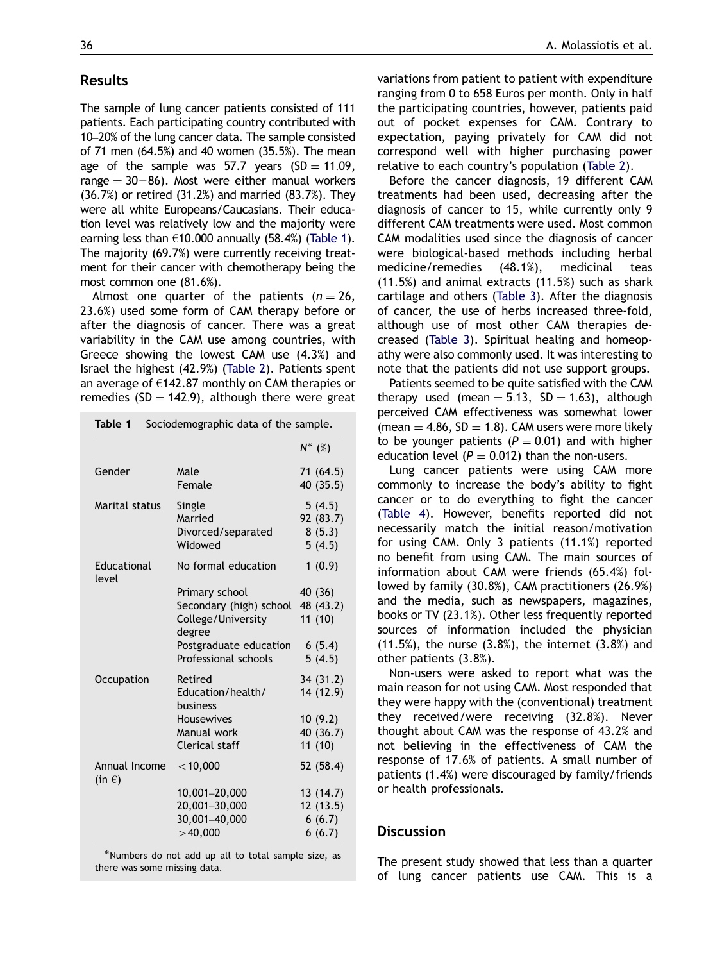### Results

The sample of lung cancer patients consisted of 111 patients. Each participating country contributed with 10–20% of the lung cancer data. The sample consisted of 71 men (64.5%) and 40 women (35.5%). The mean age of the sample was 57.7 years  $(SD = 11.09$ , range  $= 30-86$ ). Most were either manual workers (36.7%) or retired (31.2%) and married (83.7%). They were all white Europeans/Caucasians. Their education level was relatively low and the majority were earning less than  $610.000$  annually (58.4%) (Table 1). The majority (69.7%) were currently receiving treatment for their cancer with chemotherapy being the most common one (81.6%).

Almost one quarter of the patients ( $n = 26$ , 23.6%) used some form of CAM therapy before or after the diagnosis of cancer. There was a great variability in the CAM use among countries, with Greece showing the lowest CAM use (4.3%) and Israel the highest (42.9%) ([Table 2](#page-3-0)). Patients spent an average of  $E$ 142.87 monthly on CAM therapies or remedies (SD = 142.9), although there were great

|                             |                                                                                                                             | $N^*$ (%)                                          |
|-----------------------------|-----------------------------------------------------------------------------------------------------------------------------|----------------------------------------------------|
| Gender                      | Male<br>Female                                                                                                              | 71 (64.5)<br>40 (35.5)                             |
| Marital status              | Single<br>Married<br>Divorced/separated<br>Widowed                                                                          | 5(4.5)<br>92 (83.7)<br>8(5.3)<br>5(4.5)            |
| Educational<br>level        | No formal education                                                                                                         | 1(0.9)                                             |
|                             | Primary school<br>Secondary (high) school<br>College/University<br>degree<br>Postgraduate education<br>Professional schools | 40 (36)<br>48 (43.2)<br>11(10)<br>6(5.4)<br>5(4.5) |
| Occupation                  | Retired<br>Education/health/<br>business<br><b>Housewives</b><br>Manual work                                                | 34 (31.2)<br>14 (12.9)<br>10(9.2)<br>40 (36.7)     |
| Annual Income<br>$(in \in)$ | Clerical staff<br>$<$ 10,000                                                                                                | 11(10)<br>52 (58.4)                                |
|                             | 10,001-20,000<br>20,001-30,000<br>30,001-40,000<br>>40,000                                                                  | 13 (14.7)<br>12 (13.5)<br>6(6.7)<br>6(6.7)         |

Numbers do not add up all to total sample size, as there was some missing data.

variations from patient to patient with expenditure ranging from 0 to 658 Euros per month. Only in half the participating countries, however, patients paid out of pocket expenses for CAM. Contrary to expectation, paying privately for CAM did not correspond well with higher purchasing power relative to each country's population [\(Table 2](#page-3-0)).

Before the cancer diagnosis, 19 different CAM treatments had been used, decreasing after the diagnosis of cancer to 15, while currently only 9 different CAM treatments were used. Most common CAM modalities used since the diagnosis of cancer were biological-based methods including herbal medicine/remedies (48.1%), medicinal teas (11.5%) and animal extracts (11.5%) such as shark cartilage and others ([Table 3](#page-3-0)). After the diagnosis of cancer, the use of herbs increased three-fold, although use of most other CAM therapies decreased [\(Table 3\)](#page-3-0). Spiritual healing and homeopathy were also commonly used. It was interesting to note that the patients did not use support groups.

Patients seemed to be quite satisfied with the CAM therapy used (mean  $= 5.13$ , SD  $= 1.63$ ), although perceived CAM effectiveness was somewhat lower (mean  $= 4.86$ , SD  $= 1.8$ ). CAM users were more likely to be younger patients ( $P = 0.01$ ) and with higher education level ( $P = 0.012$ ) than the non-users.

Lung cancer patients were using CAM more commonly to increase the body's ability to fight cancer or to do everything to fight the cancer [\(Table 4](#page-3-0)). However, benefits reported did not necessarily match the initial reason/motivation for using CAM. Only 3 patients (11.1%) reported no benefit from using CAM. The main sources of information about CAM were friends (65.4%) followed by family (30.8%), CAM practitioners (26.9%) and the media, such as newspapers, magazines, books or TV (23.1%). Other less frequently reported sources of information included the physician (11.5%), the nurse (3.8%), the internet (3.8%) and other patients (3.8%).

Non-users were asked to report what was the main reason for not using CAM. Most responded that they were happy with the (conventional) treatment they received/were receiving (32.8%). Never thought about CAM was the response of 43.2% and not believing in the effectiveness of CAM the response of 17.6% of patients. A small number of patients (1.4%) were discouraged by family/friends or health professionals.

#### **Discussion**

The present study showed that less than a quarter of lung cancer patients use CAM. This is a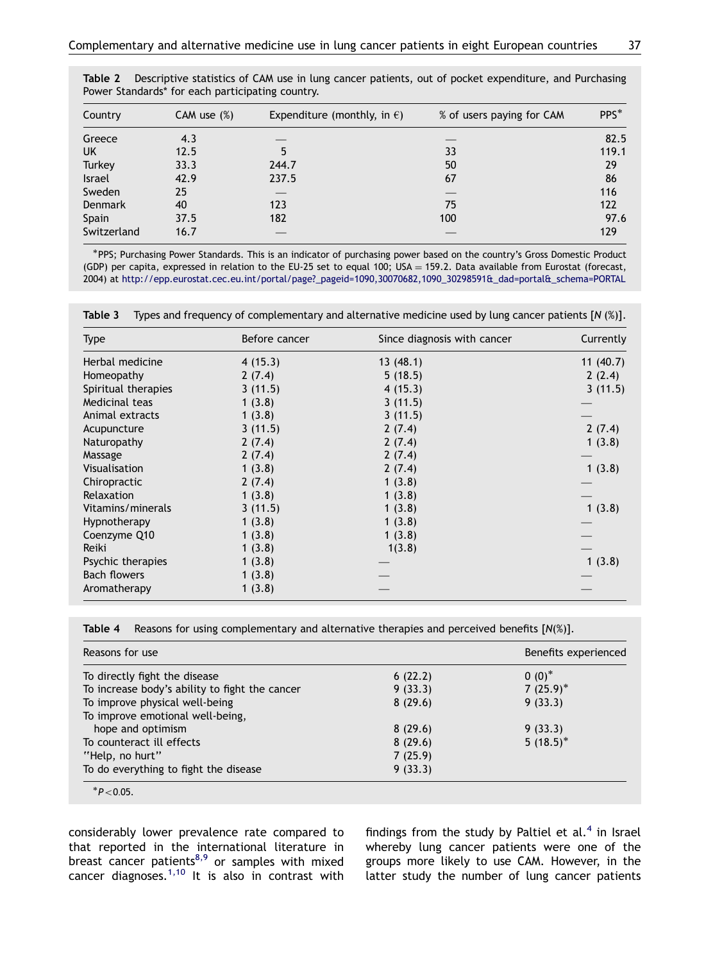<span id="page-3-0"></span>Table 2 Descriptive statistics of CAM use in lung cancer patients, out of pocket expenditure, and Purchasing Power Standards\* for each participating country.

| Country        | CAM use $(\%)$ | Expenditure (monthly, in $\epsilon$ ) | % of users paying for CAM | PPS*  |
|----------------|----------------|---------------------------------------|---------------------------|-------|
| Greece         | 4.3            |                                       |                           | 82.5  |
| UK.            | 12.5           | 5                                     | 33                        | 119.1 |
| Turkey         | 33.3           | 244.7                                 | 50                        | 29    |
| <b>Israel</b>  | 42.9           | 237.5                                 | 67                        | 86    |
| Sweden         | 25             |                                       |                           | 116   |
| <b>Denmark</b> | 40             | 123                                   | 75                        | 122   |
| Spain          | 37.5           | 182                                   | 100                       | 97.6  |
| Switzerland    | 16.7           |                                       |                           | 129   |

PPS; Purchasing Power Standards. This is an indicator of purchasing power based on the country's Gross Domestic Product (GDP) per capita, expressed in relation to the EU-25 set to equal 100; USA = 159.2. Data available from Eurostat (forecast, 2004) at [http://epp.eurostat.cec.eu.int/portal/page?\\_pageid=1090,30070682,1090\\_30298591&\\_dad=portal&\\_schema=PORTAL](http://www.epp.eurostat.cec.eu.int/portal/page?_pageid=1090,30070682,1090_30298591&_dad=portal&_schema=PORTAL)

| Table 3 |  |  |  | Types and frequency of complementary and alternative medicine used by lung cancer patients [N $\%$ ]. |  |  |  |  |  |
|---------|--|--|--|-------------------------------------------------------------------------------------------------------|--|--|--|--|--|
|---------|--|--|--|-------------------------------------------------------------------------------------------------------|--|--|--|--|--|

| <b>Type</b>         | Before cancer | Since diagnosis with cancer | Currently |
|---------------------|---------------|-----------------------------|-----------|
| Herbal medicine     | 4(15.3)       | 13(48.1)                    | 11(40.7)  |
| Homeopathy          | 2(7.4)        | 5(18.5)                     | 2(2.4)    |
| Spiritual therapies | 3(11.5)       | 4(15.3)                     | 3(11.5)   |
| Medicinal teas      | 1(3.8)        | 3(11.5)                     |           |
| Animal extracts     | 1(3.8)        | 3(11.5)                     |           |
| Acupuncture         | 3(11.5)       | 2(7.4)                      | 2(7.4)    |
| Naturopathy         | 2(7.4)        | 2(7.4)                      | 1(3.8)    |
| Massage             | 2(7.4)        | 2(7.4)                      |           |
| Visualisation       | 1(3.8)        | 2(7.4)                      | 1(3.8)    |
| Chiropractic        | 2(7.4)        | 1(3.8)                      |           |
| Relaxation          | 1(3.8)        | 1(3.8)                      |           |
| Vitamins/minerals   | 3(11.5)       | 1(3.8)                      | 1(3.8)    |
| Hypnotherapy        | 1(3.8)        | 1(3.8)                      |           |
| Coenzyme Q10        | 1(3.8)        | 1(3.8)                      |           |
| Reiki               | 1(3.8)        | 1(3.8)                      |           |
| Psychic therapies   | 1(3.8)        |                             | 1(3.8)    |
| <b>Bach flowers</b> | 1(3.8)        |                             |           |
| Aromatherapy        | 1(3.8)        |                             |           |

Table 4 Reasons for using complementary and alternative therapies and perceived benefits  $[N(\%)]$ .

| Reasons for use                                |         | Benefits experienced |
|------------------------------------------------|---------|----------------------|
| To directly fight the disease                  | 6(22.2) | $0(0)^*$             |
| To increase body's ability to fight the cancer | 9(33.3) | 7 $(25.9)^*$         |
| To improve physical well-being                 | 8(29.6) | 9(33.3)              |
| To improve emotional well-being,               |         |                      |
| hope and optimism                              | 8(29.6) | 9(33.3)              |
| To counteract ill effects                      | 8(29.6) | 5 $(18.5)^*$         |
| "Help, no hurt"                                | 7(25.9) |                      |
| To do everything to fight the disease          | 9(33.3) |                      |
| $*P<0.05$ .                                    |         |                      |

considerably lower prevalence rate compared to that reported in the international literature in breast cancer patients<sup>[8,9](#page-5-0)</sup> or samples with mixed cancer diagnoses. $^{1,10}$  $^{1,10}$  $^{1,10}$  It is also in contrast with

findings from the study by Paltiel et al. $4$  in Israel whereby lung cancer patients were one of the groups more likely to use CAM. However, in the latter study the number of lung cancer patients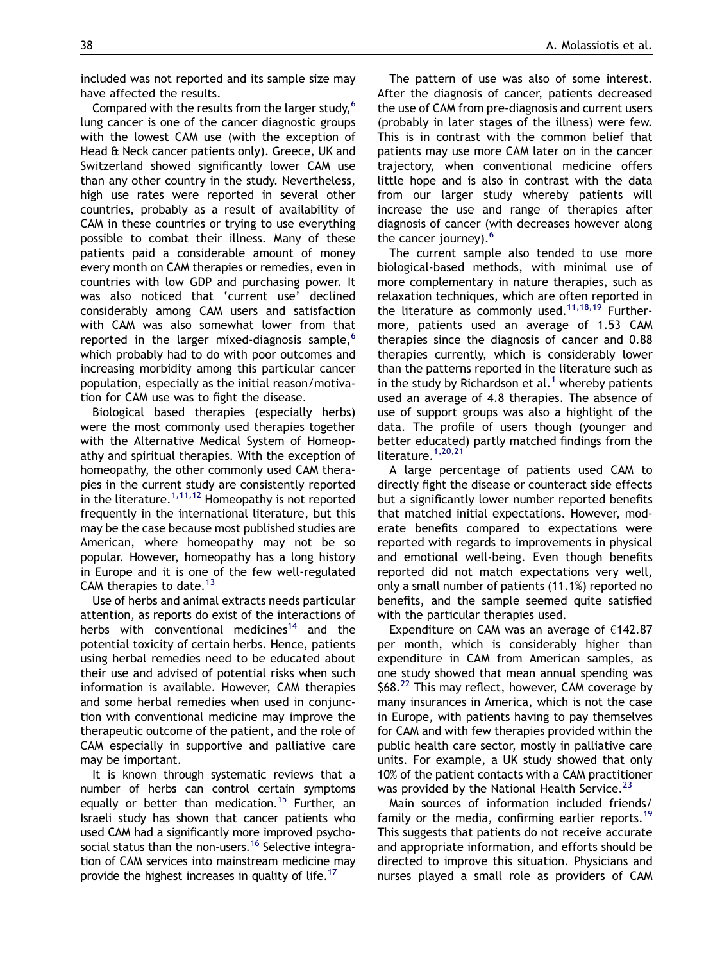included was not reported and its sample size may have affected the results.

Compared with the results from the larger study,<sup>[6](#page-5-0)</sup> lung cancer is one of the cancer diagnostic groups with the lowest CAM use (with the exception of Head & Neck cancer patients only). Greece, UK and Switzerland showed significantly lower CAM use than any other country in the study. Nevertheless, high use rates were reported in several other countries, probably as a result of availability of CAM in these countries or trying to use everything possible to combat their illness. Many of these patients paid a considerable amount of money every month on CAM therapies or remedies, even in countries with low GDP and purchasing power. It was also noticed that 'current use' declined considerably among CAM users and satisfaction with CAM was also somewhat lower from that reported in the larger mixed-diagnosis sample, $<sup>6</sup>$  $<sup>6</sup>$  $<sup>6</sup>$ </sup> which probably had to do with poor outcomes and increasing morbidity among this particular cancer population, especially as the initial reason/motivation for CAM use was to fight the disease.

Biological based therapies (especially herbs) were the most commonly used therapies together with the Alternative Medical System of Homeopathy and spiritual therapies. With the exception of homeopathy, the other commonly used CAM therapies in the current study are consistently reported in the literature.<sup>[1,11,12](#page-5-0)</sup> Homeopathy is not reported frequently in the international literature, but this may be the case because most published studies are American, where homeopathy may not be so popular. However, homeopathy has a long history in Europe and it is one of the few well-regulated CAM therapies to date.<sup>[13](#page-5-0)</sup>

Use of herbs and animal extracts needs particular attention, as reports do exist of the interactions of herbs with conventional medicines<sup>[14](#page-5-0)</sup> and the potential toxicity of certain herbs. Hence, patients using herbal remedies need to be educated about their use and advised of potential risks when such information is available. However, CAM therapies and some herbal remedies when used in conjunction with conventional medicine may improve the therapeutic outcome of the patient, and the role of CAM especially in supportive and palliative care may be important.

It is known through systematic reviews that a number of herbs can control certain symptoms equally or better than medication.<sup>15</sup> Further, an Israeli study has shown that cancer patients who used CAM had a significantly more improved psycho-social status than the non-users.<sup>[16](#page-5-0)</sup> Selective integration of CAM services into mainstream medicine may provide the highest increases in quality of life.<sup>17</sup>

The pattern of use was also of some interest. After the diagnosis of cancer, patients decreased the use of CAM from pre-diagnosis and current users (probably in later stages of the illness) were few. This is in contrast with the common belief that patients may use more CAM later on in the cancer trajectory, when conventional medicine offers little hope and is also in contrast with the data from our larger study whereby patients will increase the use and range of therapies after diagnosis of cancer (with decreases however along the cancer journey). $<sup>6</sup>$  $<sup>6</sup>$  $<sup>6</sup>$ </sup>

The current sample also tended to use more biological-based methods, with minimal use of more complementary in nature therapies, such as relaxation techniques, which are often reported in the literature as commonly used.<sup>[11,18,19](#page-5-0)</sup> Furthermore, patients used an average of 1.53 CAM therapies since the diagnosis of cancer and 0.88 therapies currently, which is considerably lower than the patterns reported in the literature such as in the study by Richardson et al.<sup>[1](#page-5-0)</sup> whereby patients used an average of 4.8 therapies. The absence of use of support groups was also a highlight of the data. The profile of users though (younger and better educated) partly matched findings from the literature.<sup>[1,20,21](#page-5-0)</sup>

A large percentage of patients used CAM to directly fight the disease or counteract side effects but a significantly lower number reported benefits that matched initial expectations. However, moderate benefits compared to expectations were reported with regards to improvements in physical and emotional well-being. Even though benefits reported did not match expectations very well, only a small number of patients (11.1%) reported no benefits, and the sample seemed quite satisfied with the particular therapies used.

Expenditure on CAM was an average of  $£142.87$ per month, which is considerably higher than expenditure in CAM from American samples, as one study showed that mean annual spending was  $$68.<sup>22</sup>$  $$68.<sup>22</sup>$  $$68.<sup>22</sup>$  This may reflect, however, CAM coverage by many insurances in America, which is not the case in Europe, with patients having to pay themselves for CAM and with few therapies provided within the public health care sector, mostly in palliative care units. For example, a UK study showed that only 10% of the patient contacts with a CAM practitioner was provided by the National Health Service. $^{23}$  $^{23}$  $^{23}$ 

Main sources of information included friends/ family or the media, confirming earlier reports.<sup>[19](#page-5-0)</sup> This suggests that patients do not receive accurate and appropriate information, and efforts should be directed to improve this situation. Physicians and nurses played a small role as providers of CAM